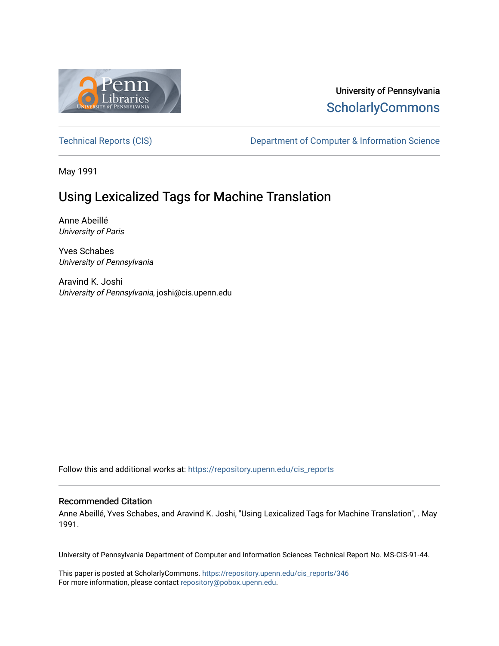

## University of Pennsylvania **ScholarlyCommons**

[Technical Reports \(CIS\)](https://repository.upenn.edu/cis_reports) Department of Computer & Information Science

May 1991

# Using Lexicalized Tags for Machine Translation

Anne Abeillé University of Paris

Yves Schabes University of Pennsylvania

Aravind K. Joshi University of Pennsylvania, joshi@cis.upenn.edu

Follow this and additional works at: [https://repository.upenn.edu/cis\\_reports](https://repository.upenn.edu/cis_reports?utm_source=repository.upenn.edu%2Fcis_reports%2F346&utm_medium=PDF&utm_campaign=PDFCoverPages) 

#### Recommended Citation

Anne Abeillé, Yves Schabes, and Aravind K. Joshi, "Using Lexicalized Tags for Machine Translation", . May 1991.

University of Pennsylvania Department of Computer and Information Sciences Technical Report No. MS-CIS-91-44.

This paper is posted at ScholarlyCommons. [https://repository.upenn.edu/cis\\_reports/346](https://repository.upenn.edu/cis_reports/346) For more information, please contact [repository@pobox.upenn.edu.](mailto:repository@pobox.upenn.edu)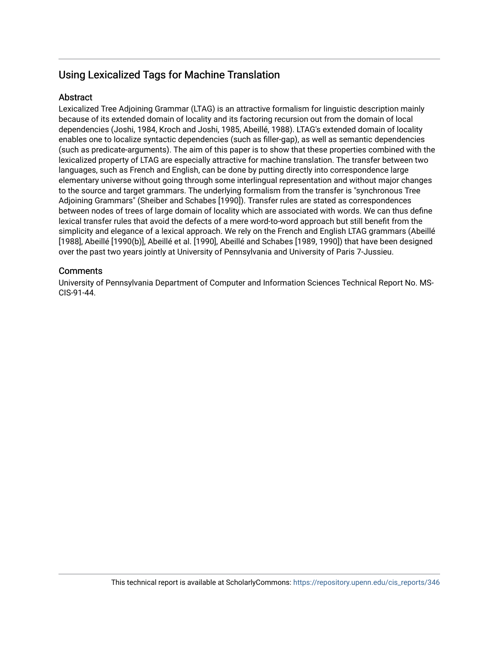## Using Lexicalized Tags for Machine Translation

### **Abstract**

Lexicalized Tree Adjoining Grammar (LTAG) is an attractive formalism for linguistic description mainly because of its extended domain of locality and its factoring recursion out from the domain of local dependencies (Joshi, 1984, Kroch and Joshi, 1985, Abeillé, 1988). LTAG's extended domain of locality enables one to localize syntactic dependencies (such as filler-gap), as well as semantic dependencies (such as predicate-arguments). The aim of this paper is to show that these properties combined with the lexicalized property of LTAG are especially attractive for machine translation. The transfer between two languages, such as French and English, can be done by putting directly into correspondence large elementary universe without going through some interlingual representation and without major changes to the source and target grammars. The underlying formalism from the transfer is "synchronous Tree Adjoining Grammars" (Sheiber and Schabes [1990]). Transfer rules are stated as correspondences between nodes of trees of large domain of locality which are associated with words. We can thus define lexical transfer rules that avoid the defects of a mere word-to-word approach but still benefit from the simplicity and elegance of a lexical approach. We rely on the French and English LTAG grammars (Abeillé [1988], Abeillé [1990(b)], Abeillé et al. [1990], Abeillé and Schabes [1989, 1990]) that have been designed over the past two years jointly at University of Pennsylvania and University of Paris 7-Jussieu.

### **Comments**

University of Pennsylvania Department of Computer and Information Sciences Technical Report No. MS-CIS-91-44.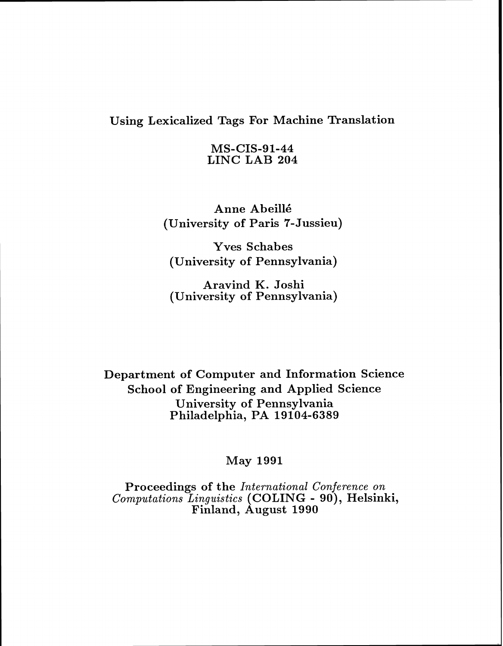## Using Lexicalized Tags For Machine Translation

MS-CIS-91-44 LINC LAB 204

Anne Abeill6 (University of Paris 7- Jussieu)

Yves Schabes (University of Pennsylvania)

Aravind K. Joshi (University of Pennsylvania)

Department of Computer and Information Science School of Engineering and Applied Science University of Pennsylvania Philadelphia, PA 19104-6389

May 1991

Proceedings of the *International Conference on Computations Linguistics* (COLING - go), Helsinki, Finland, August 1990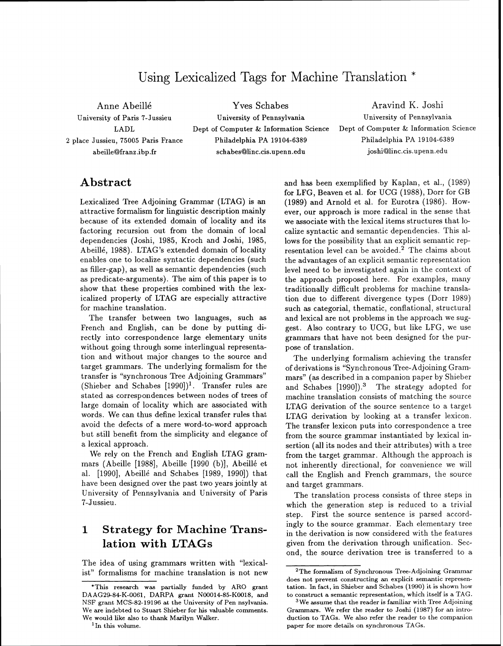## Using Lexicalized Tags for Machine Translation \*

**Anne Abeillk Yves Schabes Aravind** K. **Joshi**  University of Paris 7-Jussieu University of Pennsylvania University of Pennsylvania **2** place Jussieu, 75005 Paris France Philadelphia PA 19104-6389 Philadelphia PA 19104-6389 abeille@franz .ibp.fr schabes@linc.cis.upenn.edu joshi@linc.cis.upenn.edu

LADL Dept of Computer & Information Science Dept of Computer & Information Science

### **Abstract**

Lexicalized Tree Adjoining Grammar (LTAG) is an attractive formalism for linguistic description mainly because of its extended domain of locality and its factoring recursion out from the domain of local dependencies (Joshi, 1985, Kroch and Joshi, 1985, Abeillé, 1988). LTAG's extended domain of locality enables one to localize syntactic dependencies (such as filler-gap), as well as semantic dependencies (such as predicate-arguments). The aim of this paper is to show that these properties combined with the lexicalized property of LTAG are especially attractive for machine translation.

The transfer between two languages, such as French and English, can be done by putting directly into correspondence large elementary units without going through some interlingual representation and without major changes to the source and target grammars. The underlying formalism for the transfer is "synchronous Tree Adjoining Grammars" (Shieber and Schabes  $[1990]$ <sup>1</sup>. Transfer rules are stated as correspondences between nodes of trees of large domain of locality which are associated with words. We can thus define lexical transfer rules that avoid the defects of a mere word-to-word approach but still benefit from the simplicity and elegance of a lexical approach.

We rely on the French and English LTAG grammars (Abeille [1988], Abeille [1990 (b)], Abeillé et al. [1990], Abeillé and Schabes [1989, 1990]) that have been designed over the past two years jointly at University of Pennsylvania and University of Paris 7-Jussieu.

## **1 Strategy for Machine Translation with LTAGs**

The idea of using grammars written with "lexicalist" formalisms for machine translation is not new

'In **this volume.** 

and has been exemplified by Kaplan, et **al.,** (1989) for LFG, Beaven et al. for UCG (1988), Dorr for GB (1989) and Arnold et al. for Eurotra (1986). However, our approach is more radical in the sense that we associate with the lexical items structures that localize syntactic and semantic dependencies. This allows for the possibility that an explicit semantic representation level can be avoided. $2$  The claims about the advantages of an explicit semantic representation level need to be investigated again in the context of the approach proposed here. For examples, many traditionally difficult problems for machine translation due to different divergence types (Dorr 1989) such as categorial, thematic, conflational, structural and lexical are not problems in the approach we suggest. Also contrary to UCG, but like LFG, we use grammars that have not been designed for the purpose of translation.

The underlying formalism achieving the transfer of derivations is "Synchronous Tree-Adjoining Grammars" (as described in a companion paper by Shieber and Schabes [1990]).3 The strategy adopted for machine translation consists of matching the source LTAG derivation of the source sentence to a target LTAG derivation by looking at a transfer lexicon. The transfer lexicon puts into correspondence a tree from the source grammar instantiated by lexical insertion (all its nodes and their attributes) with a tree from the target grammar. Although the approach is not inherently directional, for convenience we will call the English and French grammars, the source and target grammars.

The translation process consists of three steps in which the generation step is reduced to a trivial step. First the source sentence is parsed accordingly to the source grammar. Each elementary tree in the derivation is now considered with the features given from the derivation through unification. Second, the source derivation tree is transferred to a

**<sup>&#</sup>x27;This research was partially funded by ARO grant DAAG29-84-K-0061, DARPA grant N00014-85-K0018, and NSF grant MCS-82-19196 at the University of Pen nsylvania. We are indebted to Stuart Shieber for his valuable comments. We would like also to thank Marilyn Walker.** 

**<sup>2</sup>The formalism of Synchronous Tree-Adjoining Grammar does not prevent constructing an explicit semantic represen**tation. In fact, in Shieber and Schabes (1990) it is shown how **to construct a semantic representation, which itself is a TAG.** 

**We assume that the reader is familiar with Tree Adjoining Grammars. We refer the reader to Joshi (1987) for an introduction to TAGs. We also refer the reader to the companion paper for more details on synchronous TAGs.**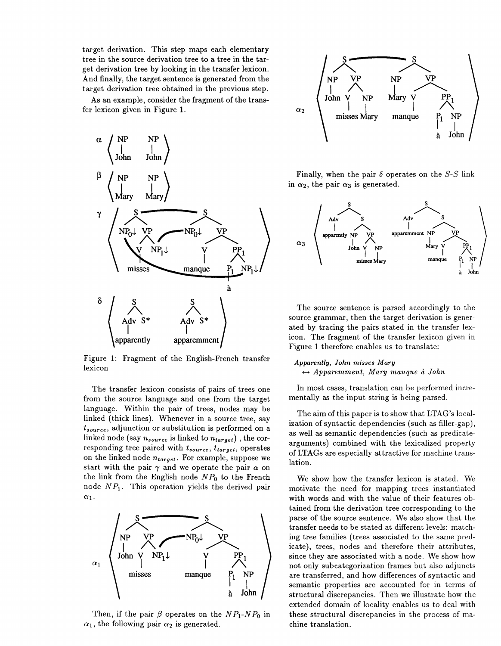target derivation. This step maps each elementary tree in the source derivation tree to a tree in the target derivation tree by looking in the transfer lexicon. And finally, the target sentence is generated from the target derivation tree obtained in the previous step.

As an example, consider the fragment of the transfer lexicon given in Figure 1.



Figure 1: Fragment of the English-French transfer lexicon

The transfer lexicon consists of pairs of trees one from the source language and one from the target language. Within the pair of trees, nodes may be linked (thick lines). Whenever in a source tree, say **tsouree,** adjunction or substitution is performed on a linked node (say  $n_{source}$  is linked to  $n_{target}$ ), the corresponding tree paired with  $t_{source}$ ,  $t_{target}$ , operates on the linked node  $n_{target}$ . For example, suppose we start with the pair  $\gamma$  and we operate the pair  $\alpha$  on the link from the English node *NPo* to the French node *NPl.* This operation yields the derived pair  $\alpha_1$ .



Then, if the pair  $\beta$  operates on the  $NP_1$ - $NP_0$  in  $\alpha_1$ , the following pair  $\alpha_2$  is generated.



Finally, when the pair  $\delta$  operates on the S-S link in  $\alpha_2$ , the pair  $\alpha_3$  is generated.



The source sentence is parsed accordingly to the source grammar, then the target derivation is generated by tracing the pairs stated in the transfer lexicon. The fragment of the transfer lexicon given in Figure 1 therefore enables us to translate:

#### *Apparently, John* **misses** *Mary*   $\leftrightarrow$  *Apparemment, Mary manque à John*

In most cases, translation can be performed incrementally **as** the input string is being parsed.

The aim of this paper is to show that LTAG's localization of syntactic dependencies (such **as** filler-gap), as well as semantic dependencies (such as predicatearguments) combined with the lexicalized property of LTAGs are especially attractive for machine translation.

We show how the transfer lexicon is stated. We motivate the need for mapping trees instantiated with words and with the value of their features obtained from the derivation tree corresponding to the parse of the source sentence. We also show that the transfer needs to be stated at different levels: matching tree families (trees associated to the same predicate), trees, nodes and therefore their attributes, since they are associated with a node. We show how not only subcategorization frames but also adjuncts are transferred, and how differences of syntactic and semantic properties are accounted for in terms of structural discrepancies. Then we illustrate how the extended domain of locality enables us to deal with these structural discrepancies in the process of machine translation.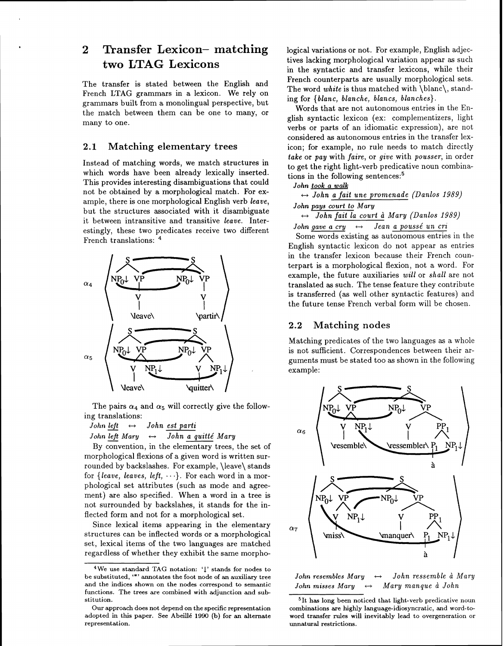## **2 Transfer Lexicon- matching two LTAG Lexicons**

The transfer is stated between the English and French LTAG grammars in a lexicon. We rely on grammars built from a monolingual perspective, but the match between them can be one to many, or many to one.

#### **2.1 Matching elementary trees**

Instead of matching words, we match structures in which words have been already lexically inserted. This provides interesting disambiguations that could not be obtained by a morphological match. For example, there is one morphological English verb *leave,*  but the structures associated with it disambiguate it between intransitive and transitive *leave.* Interestingly, these two predicates receive two different French translations:  $4$ 



The pairs  $\alpha_4$  and  $\alpha_5$  will correctly give the follow-<br> *John left*  $\leftrightarrow$  *John est parti*<br> *Link Lift Mary* ing translations: *John <u>left</u>*  $\leftrightarrow$  *John <u>est parti</u><br>John <u>left</u> Mary*  $\leftrightarrow$  *<i>John a quitté Mary*<br>By convention, in the elementary trees, the set of

morphological flexions of a given word is written surrounded by backslashes. For example, \leave\ stands for *{leave, leaves, left, ...}*. For each word in a morphological set attributes (such as mode and agreement) are also specified. When a word in a tree is not surrounded by backslahes, it stands for the inflected form and not for a morphological set.

Since lexical items appearing in the elementary structures can be inflected words or a morphological set, lexical items of the two languages are matched regardless of whether they exhibit the same morphological variations or not. For example, English adjectives lacking morphological variation appear as such in the syntactic and transfer lexicons, while their French counterparts are usually morphological sets. The word *white* is thus matched with \blanc\, standing for *{blanc, blanche, blancs, blanches).* 

Words that are not autonomous entries in the English syntactic lexicon (ex: complementizers, light verbs or parts of an idiomatic expression), are not considered as autonomous entries in the transfer lexicon; for example, no rule needs to match directly *take* or pay with *faire,* or *give* with *pousser,* in order to get the right light-verb predicative noun combinations in the following sentences:<sup>5</sup>

*John took a walk* 

 $\leftrightarrow$  *John a fait une promenade (Danlos 1989)* 

*John pays court to Mary* 

H *John fait la court* d *Mary (Danlos 1989)* 

*John gave a cry*  $\leftrightarrow$  *Jean a poussé un cri* 

Some words existing as autonomous entries in the English syntactic lexicon do not appear as entries in the transfer lexicon because their French counterpart is a morphological flexion, not a word. For example, the future auxiliaries *will* or *shall* are not translated as such. The tense feature they contribute is transferred (as well other syntactic features) and the future tense French verbal form will be chosen.

#### **2.2 Matching nodes**

Matching predicates of the two languages as a whole is not sufficient. Correspondences between their arguments must be stated too as shown in the following example:



*John resembles Mary*  $\leftrightarrow$  *John ressemble à Mary John misses Mary*  $\leftrightarrow$  *Mary manque à John John misses Mary* +-+ *Mary manque* d *John* 

**<sup>4</sup>We use standard TAG notation:** '1' **stands for nodes to be substituted,** '\*' **annotates the foot node of an auxiliary tree and the indices shown on the nodes correspond to semantic functions. The trees are combined with adjunction and substitution.** 

Our **approach does not depend on the specific representation**  adopted in this paper. See Abeillé 1990 (b) for an alternate **representation.** 

**<sup>51</sup>t has long been noticed that Light-verb predicative noun combinations are highly language-idiosyncratic, and word-toword transfer rules will inevitably lead to overgeneration or unnatural restrictions.**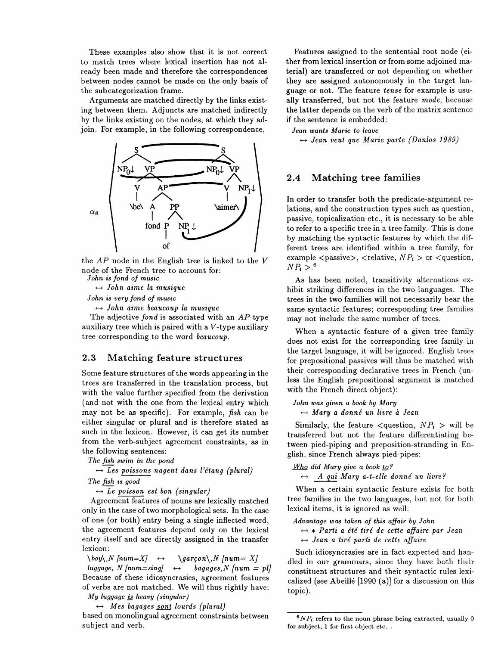These examples also show that it is not correct to match trees where lexical insertion has not already been made and therefore the correspondences between nodes cannot be made on the only basis of the subcategorization frame.

Arguments are matched directly by the links existing between them. Adjuncts are matched indirectly by the links existing on the nodes, at which they adjoin. For example, in the following correspondence,



the  $AP$  node in the English tree is linked to the  $V$ node of the French tree to account for:

*John is fond of music* 

\* *John aime la musique* 

*John is very fond of music* 

 $\leftrightarrow$  *John aime beaucoup la musique* 

The adjective *fond* is associated with an AP-type auxiliary tree which is paired with a V-type auxiliary tree corresponding to the word *beaucoup.* 

#### **2.3 Matching feature structures**

Some feature structures of the words appearing in the trees are transferred in the translation process, but with the value further specified from the derivation (and not with the one from the lexical entry which may not be as specific). For example, *fish* can be either singular or plural and is therefore stated as such in the lexicon. However, it can get its number from the verb-subject agreement constraints, as in the following sentences:

*The fish swim in the pond* 

 $\leftrightarrow$  Les poissons nagent dans l'étang (plural) *The fish is good* 

 $\leftrightarrow$  *Le poisson est bon (singular)* 

Agreement features of nouns are lexically matched only in the case of two morphological sets. In the case of one (or both) entry being a single inflected word, the agreement features depend only on the lexical entry itself and are directly assigned in the transfer lexicon:

 $\begin{array}{ccc} \n\begin{array}{ccc} \n\begin{array}{ccc} \n\begin{array}{ccc} \n\end{array} & \text{if } n\end{array} & \text{if } n\end{array} & \text{if } n\end{array}$ *luggage, N [num=sing]*  $\leftrightarrow$  *bagages,N [num = pl]* Because of these idiosyncrasies, agreement features of verbs are not matched. We will thus rightly have: *My luggage* & *heavy (singular)* 

 $\leftrightarrow$  *Mes bagages <u>sont</u> lourds (plural)* 

based on monolingual agreement constraints between subject and verb.

Features assigned to the sentential root node (either from lexical insertion or from some adjoined material) are transferred or not depending on whether they are assigned autonomously in the target language or not. The feature *tense* for example is usually transferred, but not the feature *mode,* because the latter depends on the verb of the matrix sentence if the sentence is embedded:

*Jean wants Marie to leave* 

 $\leftrightarrow$  Jean veut que Marie parte (Danlos 1989)

#### **2.4 Matching tree families**

In order to transfer both the predicate-argument relations, and the construction types such as question, passive, topicalization etc., it is necessary to be able to refer to a specific tree in a tree family. This is done by matching the syntactic features by which the different trees are identified within a tree family, for example  $\langle$  passive $\rangle$ ,  $\langle$  relative,  $NP_i$   $>$  or  $\langle$  question,  $NP_i > .6$ 

As has been noted, transitivity alternations exhibit striking differences in the two languages. The trees in the two families will not necessarily bear the same syntactic features; corresponding tree families may not include the same number of trees.

When a syntactic feature of a given tree family does not exist for the corresponding tree family in the target language, it will be ignored. English trees for prepositional passives will thus be matched with their corresponding declarative trees in French (unless the English prepositional argument is matched with the French direct object):

#### *John was given a book by Mary*  \* *Mary a donne' un livre* **ci** *Jean*

Similarly, the feature  $\langle$ question,  $NP_i$   $>$  will be transferred but not the feature differentiating between pied-piping and preposition-stranding in English, since French always pied-pipes:

*Who did Mary give a book to?* 

 $\leftrightarrow$  *A qui Mary a-t-elle donné un livre?* 

When a certain syntactic feature exists for both tree families in the two languages, but not for both lexical items, it is ignored as well:

*Advantage was taken of this affair by John* 

\* \* *Parti a e'te' tire' de cette affaire par Jean*   $\leftrightarrow$  *Jean a tiré parti de cette affaire* 

- -

Such idiosyncrasies are in fact expected and handled in our grammars, since they have both their constituent structures and their syntactic rules lexicalized (see Abeillé [1990 (a)] for a discussion on this topic).

*<sup>&#</sup>x27;NP,* **refers to the noun phrase being extracted, usually** 0 **for subject, 1 for first object etc.** .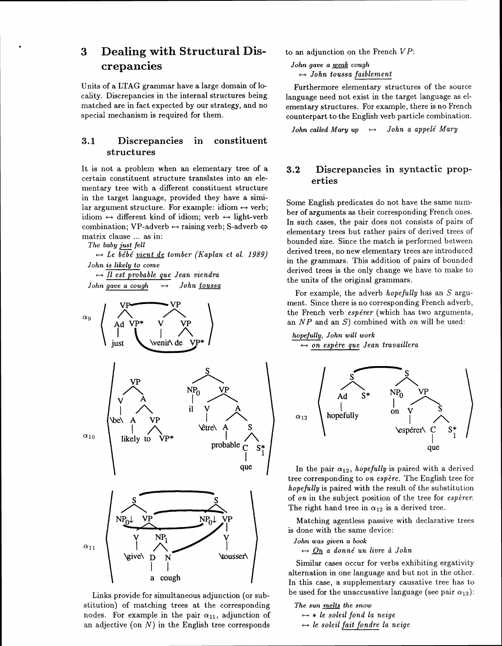## **3 Dealing with Structural Discrepancies**

Units of a LTAG grammar have a large domain of locality. Discrepancies in the internal structures being matched are in fact expected by our strategy, and no special mechanism is required for them.

### **3.1 Discrepancies in constituent structures**

It is not a problem when an elementary tree of a certain constituent structure translates into an elementary tree with a different constituent structure in the target language, provided they have a similar argument structure. For example: idiom  $\leftrightarrow$  verb;  $\text{lar argument structure.}$  For example: idiom  $\leftrightarrow$  verb;<br>idiom  $\leftrightarrow$  different kind of idiom; verb  $\leftrightarrow$  light-verb  $\text{idiom} \leftrightarrow \text{different kind of idiom; verb} \leftrightarrow \text{light-ve}$ <br>combination; VP-adverb  $\leftrightarrow$  raising verb; S-adverb matrix clause ... as in:

*The baby just fell*  ++ *Le be'be' vient de tornber (Kaplan et al. 1989) John is likely to come*  ++ *I1 est probable que Jean viendra John gave a cough* \* *John toussa* 



Links provide for simultaneous adjunction (or substitution) of matching trees at the corresponding nodes. For example in the pair  $\alpha_{11}$ , adjunction of an adjective (on  $N$ ) in the English tree corresponds

to an adjunction on the French VP:

*John gave a weak cough*  $\leftrightarrow$  *John toussa faiblement* 

Furthermore elementary structures of the source language need not exist in the target language as elementary structures. For example, there is no French counterpart to the English verb particle combination.

*John called Mary up*  $\leftrightarrow$  *John a appelé Mary* 

### **3.2 Discrepancies in syntactic properties**

Some English predicates do not have the same number of arguments as their corresponding French ones. In such cases, the pair does not consists of pairs of elementary trees but rather pairs of derived trees of bounded size. Since the match is performed between derived trees, no new elementary trees are introduced in the grammars. This addition of pairs of bounded derived trees is the only change we have to make to the units of the original grammars.

For example, the adverb *hopefully* has an *S* argument. Since there is no corresponding French adverb, the French verb *espe'rer* (which has two arguments, an *NP* and an S) combined with on will be used:

*hopefully, John will work*  **c\*** *on espdre que Jean tmvaillera* 



In the pair  $\alpha_{12}$ , *hopefully* is paired with a derived tree corresponding to *on espdre.* The English tree for *hopefully* is paired with the result of the substitution of *on* in the subject position of the tree for *espirer.*  The right hand tree in  $\alpha_{12}$  is a derived tree.

Matching agentless passive with declarative trees is done with the same device:

*John was given a book* 

 $\leftrightarrow$  <u>On</u> a donné un livre à *John* 

Similar cases occur for verbs exhibiting ergativity alternation in one language and but not in the other. In this case, a supplementary causative tree has to be used for the unaccusative language (see pair  $\alpha_{13}$ ):

The sun melts the snow  $\leftrightarrow *$  *le soleil fond la neige* 

 $\leftrightarrow$  *le soleil fait fondre la neige*